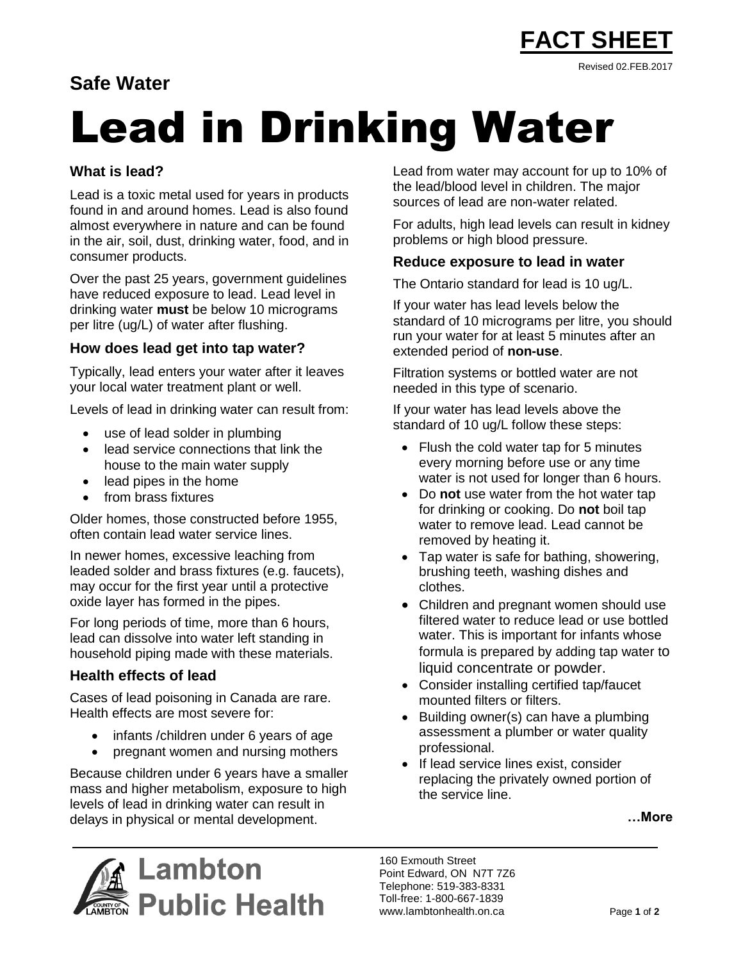

# **Safe Water**

# Lead in Drinking Water

# **What is lead?**

Lead is a toxic metal used for years in products found in and around homes. Lead is also found almost everywhere in nature and can be found in the air, soil, dust, drinking water, food, and in consumer products.

Over the past 25 years, government guidelines have reduced exposure to lead. Lead level in drinking water **must** be below 10 micrograms per litre (ug/L) of water after flushing.

# **How does lead get into tap water?**

Typically, lead enters your water after it leaves your local water treatment plant or well.

Levels of lead in drinking water can result from:

- use of lead solder in plumbing
- lead service connections that link the house to the main water supply
- lead pipes in the home
- from brass fixtures

Older homes, those constructed before 1955, often contain lead water service lines.

In newer homes, excessive leaching from leaded solder and brass fixtures (e.g. faucets), may occur for the first year until a protective oxide layer has formed in the pipes.

For long periods of time, more than 6 hours, lead can dissolve into water left standing in household piping made with these materials.

# **Health effects of lead**

Cases of lead poisoning in Canada are rare. Health effects are most severe for:

- infants /children under 6 years of age
- pregnant women and nursing mothers

Because children under 6 years have a smaller mass and higher metabolism, exposure to high levels of lead in drinking water can result in delays in physical or mental development.

Lead from water may account for up to 10% of the lead/blood level in children. The major sources of lead are non-water related.

For adults, high lead levels can result in kidney problems or high blood pressure.

# **Reduce exposure to lead in water**

The Ontario standard for lead is 10 ug/L.

If your water has lead levels below the standard of 10 micrograms per litre, you should run your water for at least 5 minutes after an extended period of **non-use**.

Filtration systems or bottled water are not needed in this type of scenario.

If your water has lead levels above the standard of 10 ug/L follow these steps:

- Flush the cold water tap for 5 minutes every morning before use or any time water is not used for longer than 6 hours.
- Do **not** use water from the hot water tap for drinking or cooking. Do **not** boil tap water to remove lead. Lead cannot be removed by heating it.
- Tap water is safe for bathing, showering, brushing teeth, washing dishes and clothes.
- Children and pregnant women should use filtered water to reduce lead or use bottled water. This is important for infants whose formula is prepared by adding tap water to liquid concentrate or powder.
- Consider installing certified tap/faucet mounted filters or filters.
- Building owner(s) can have a plumbing assessment a plumber or water quality professional.
- If lead service lines exist, consider replacing the privately owned portion of the service line.

**…More**



160 Exmouth Street Point Edward, ON N7T 7Z6 Telephone: 519-383-8331 Toll-free: 1-800-667-1839 www.lambtonhealth.on.ca Page **1** of **2**